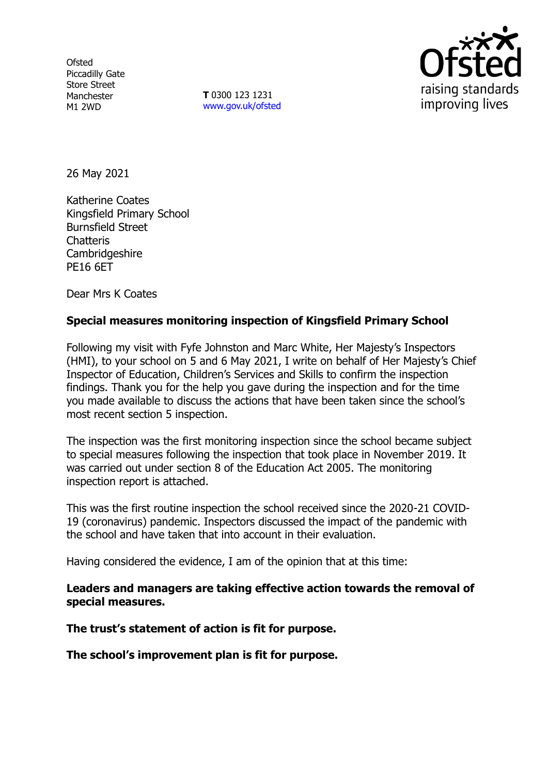**Ofsted** Piccadilly Gate Store Street Manchester M1 2WD

**T** 0300 123 1231 [www.gov.uk/ofsted](http://www.gov.uk/ofsted)



26 May 2021

Katherine Coates Kingsfield Primary School Burnsfield Street **Chatteris** Cambridgeshire PE16 6ET

Dear Mrs K Coates

#### **Special measures monitoring inspection of Kingsfield Primary School**

Following my visit with Fyfe Johnston and Marc White, Her Majesty's Inspectors (HMI), to your school on 5 and 6 May 2021, I write on behalf of Her Majesty's Chief Inspector of Education, Children's Services and Skills to confirm the inspection findings. Thank you for the help you gave during the inspection and for the time you made available to discuss the actions that have been taken since the school's most recent section 5 inspection.

The inspection was the first monitoring inspection since the school became subject to special measures following the inspection that took place in November 2019. It was carried out under section 8 of the Education Act 2005. The monitoring inspection report is attached.

This was the first routine inspection the school received since the 2020-21 COVID-19 (coronavirus) pandemic. Inspectors discussed the impact of the pandemic with the school and have taken that into account in their evaluation.

Having considered the evidence, I am of the opinion that at this time:

**Leaders and managers are taking effective action towards the removal of special measures.**

**The trust's statement of action is fit for purpose.**

**The school's improvement plan is fit for purpose.**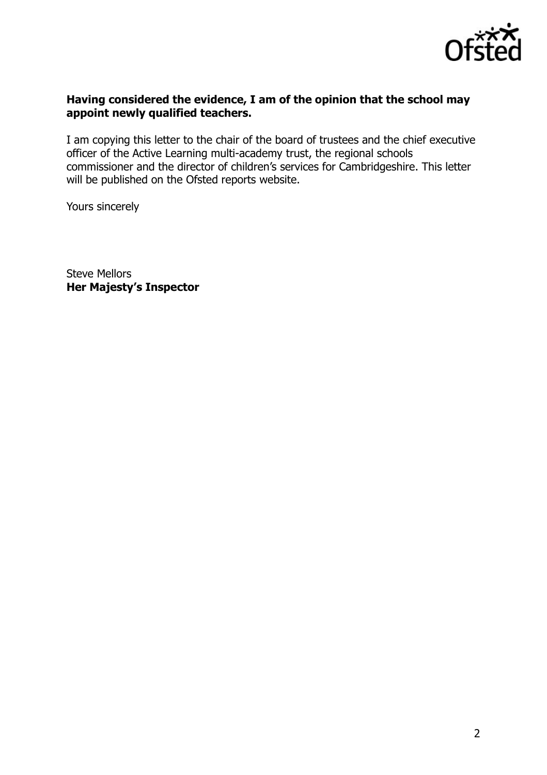

## **Having considered the evidence, I am of the opinion that the school may appoint newly qualified teachers.**

I am copying this letter to the chair of the board of trustees and the chief executive officer of the Active Learning multi-academy trust, the regional schools commissioner and the director of children's services for Cambridgeshire. This letter will be published on the Ofsted reports website.

Yours sincerely

Steve Mellors **Her Majesty's Inspector**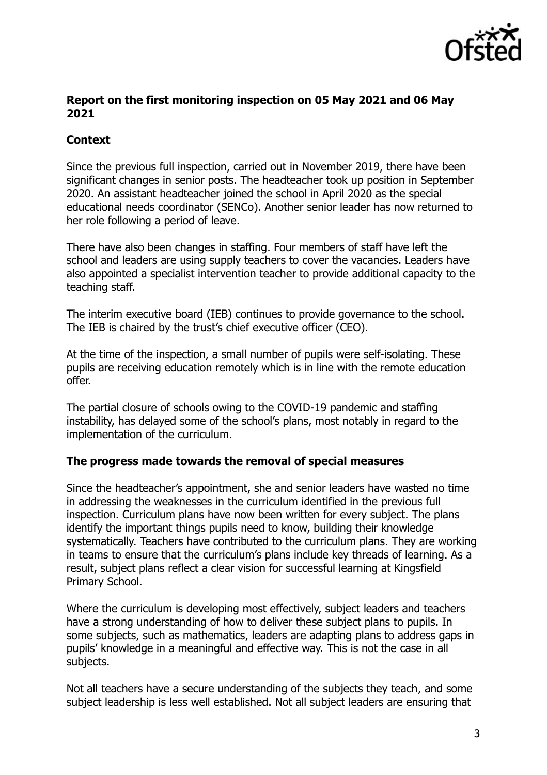

## **Report on the first monitoring inspection on 05 May 2021 and 06 May 2021**

# **Context**

Since the previous full inspection, carried out in November 2019, there have been significant changes in senior posts. The headteacher took up position in September 2020. An assistant headteacher joined the school in April 2020 as the special educational needs coordinator (SENCo). Another senior leader has now returned to her role following a period of leave.

There have also been changes in staffing. Four members of staff have left the school and leaders are using supply teachers to cover the vacancies. Leaders have also appointed a specialist intervention teacher to provide additional capacity to the teaching staff.

The interim executive board (IEB) continues to provide governance to the school. The IEB is chaired by the trust's chief executive officer (CEO).

At the time of the inspection, a small number of pupils were self-isolating. These pupils are receiving education remotely which is in line with the remote education offer.

The partial closure of schools owing to the COVID-19 pandemic and staffing instability, has delayed some of the school's plans, most notably in regard to the implementation of the curriculum.

## **The progress made towards the removal of special measures**

Since the headteacher's appointment, she and senior leaders have wasted no time in addressing the weaknesses in the curriculum identified in the previous full inspection. Curriculum plans have now been written for every subject. The plans identify the important things pupils need to know, building their knowledge systematically. Teachers have contributed to the curriculum plans. They are working in teams to ensure that the curriculum's plans include key threads of learning. As a result, subject plans reflect a clear vision for successful learning at Kingsfield Primary School.

Where the curriculum is developing most effectively, subject leaders and teachers have a strong understanding of how to deliver these subject plans to pupils. In some subjects, such as mathematics, leaders are adapting plans to address gaps in pupils' knowledge in a meaningful and effective way. This is not the case in all subjects.

Not all teachers have a secure understanding of the subjects they teach, and some subject leadership is less well established. Not all subject leaders are ensuring that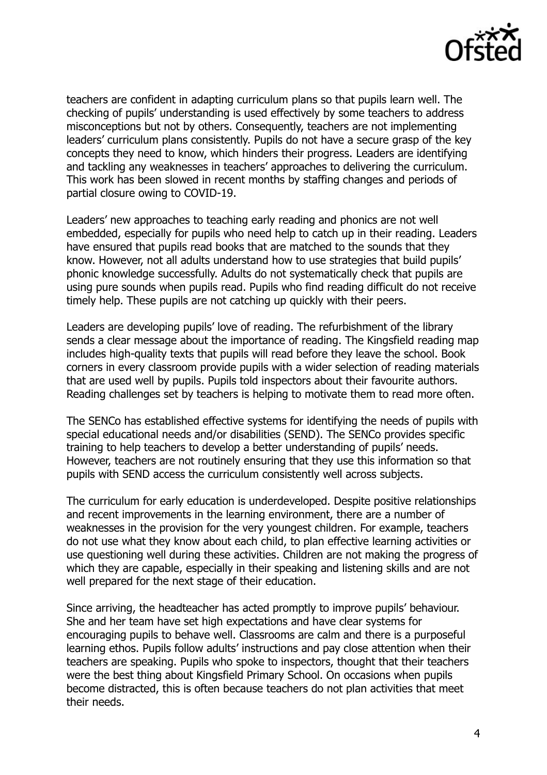

teachers are confident in adapting curriculum plans so that pupils learn well. The checking of pupils' understanding is used effectively by some teachers to address misconceptions but not by others. Consequently, teachers are not implementing leaders' curriculum plans consistently. Pupils do not have a secure grasp of the key concepts they need to know, which hinders their progress. Leaders are identifying and tackling any weaknesses in teachers' approaches to delivering the curriculum. This work has been slowed in recent months by staffing changes and periods of partial closure owing to COVID-19.

Leaders' new approaches to teaching early reading and phonics are not well embedded, especially for pupils who need help to catch up in their reading. Leaders have ensured that pupils read books that are matched to the sounds that they know. However, not all adults understand how to use strategies that build pupils' phonic knowledge successfully. Adults do not systematically check that pupils are using pure sounds when pupils read. Pupils who find reading difficult do not receive timely help. These pupils are not catching up quickly with their peers.

Leaders are developing pupils' love of reading. The refurbishment of the library sends a clear message about the importance of reading. The Kingsfield reading map includes high-quality texts that pupils will read before they leave the school. Book corners in every classroom provide pupils with a wider selection of reading materials that are used well by pupils. Pupils told inspectors about their favourite authors. Reading challenges set by teachers is helping to motivate them to read more often.

The SENCo has established effective systems for identifying the needs of pupils with special educational needs and/or disabilities (SEND). The SENCo provides specific training to help teachers to develop a better understanding of pupils' needs. However, teachers are not routinely ensuring that they use this information so that pupils with SEND access the curriculum consistently well across subjects.

The curriculum for early education is underdeveloped. Despite positive relationships and recent improvements in the learning environment, there are a number of weaknesses in the provision for the very youngest children. For example, teachers do not use what they know about each child, to plan effective learning activities or use questioning well during these activities. Children are not making the progress of which they are capable, especially in their speaking and listening skills and are not well prepared for the next stage of their education.

Since arriving, the headteacher has acted promptly to improve pupils' behaviour. She and her team have set high expectations and have clear systems for encouraging pupils to behave well. Classrooms are calm and there is a purposeful learning ethos. Pupils follow adults' instructions and pay close attention when their teachers are speaking. Pupils who spoke to inspectors, thought that their teachers were the best thing about Kingsfield Primary School. On occasions when pupils become distracted, this is often because teachers do not plan activities that meet their needs.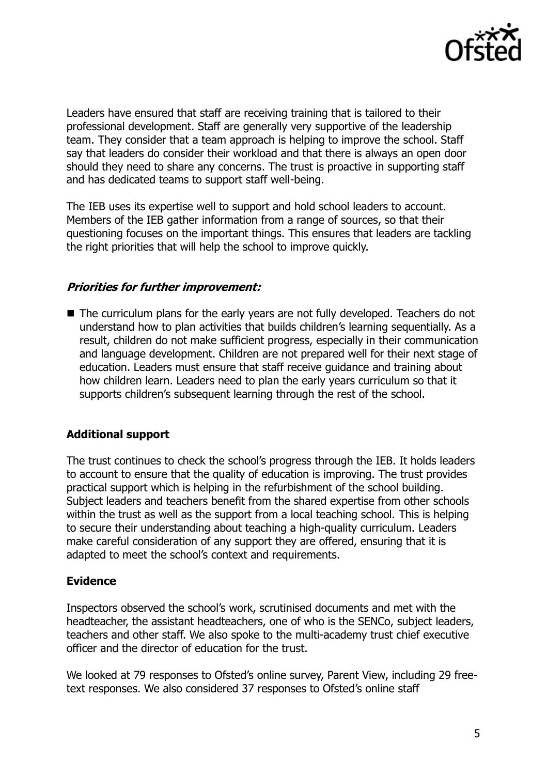

Leaders have ensured that staff are receiving training that is tailored to their professional development. Staff are generally very supportive of the leadership team. They consider that a team approach is helping to improve the school. Staff say that leaders do consider their workload and that there is always an open door should they need to share any concerns. The trust is proactive in supporting staff and has dedicated teams to support staff well-being.

The IEB uses its expertise well to support and hold school leaders to account. Members of the IEB gather information from a range of sources, so that their questioning focuses on the important things. This ensures that leaders are tackling the right priorities that will help the school to improve quickly.

## **Priorities for further improvement:**

The curriculum plans for the early years are not fully developed. Teachers do not understand how to plan activities that builds children's learning sequentially. As a result, children do not make sufficient progress, especially in their communication and language development. Children are not prepared well for their next stage of education. Leaders must ensure that staff receive guidance and training about how children learn. Leaders need to plan the early years curriculum so that it supports children's subsequent learning through the rest of the school.

# **Additional support**

The trust continues to check the school's progress through the IEB. It holds leaders to account to ensure that the quality of education is improving. The trust provides practical support which is helping in the refurbishment of the school building. Subject leaders and teachers benefit from the shared expertise from other schools within the trust as well as the support from a local teaching school. This is helping to secure their understanding about teaching a high-quality curriculum. Leaders make careful consideration of any support they are offered, ensuring that it is adapted to meet the school's context and requirements.

## **Evidence**

Inspectors observed the school's work, scrutinised documents and met with the headteacher, the assistant headteachers, one of who is the SENCo, subject leaders, teachers and other staff. We also spoke to the multi-academy trust chief executive officer and the director of education for the trust.

We looked at 79 responses to Ofsted's online survey, Parent View, including 29 freetext responses. We also considered 37 responses to Ofsted's online staff